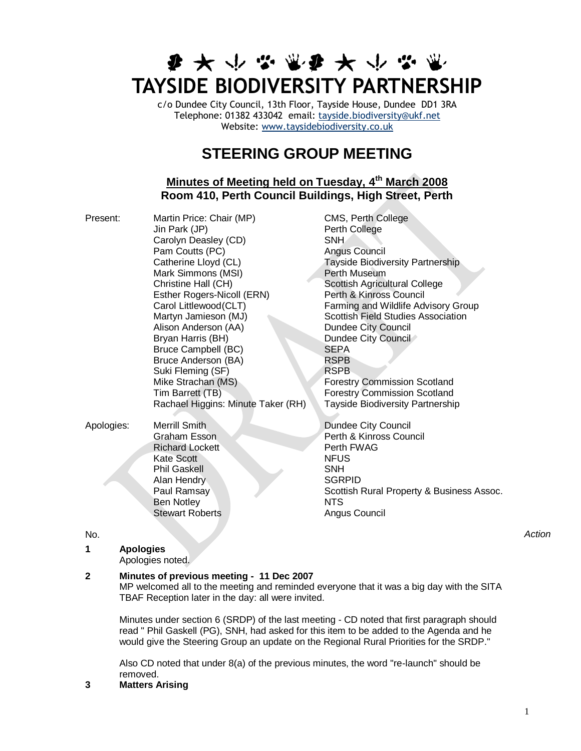# **まみやなまなみかなき TAYSIDE BIODIVERSITY PARTNERSHIP**

c/o Dundee City Council, 13th Floor, Tayside House, Dundee DD1 3RA Telephone: 01382 433042 email: [tayside.biodiversity@ukf.net](mailto:tayside.biodiversity@ukf.net)  Website: [www.taysidebiodiversity.co.uk](http://www.taysidebiodiversity.co.uk/)

# **STEERING GROUP MEETING**

### **Minutes of Meeting held on Tuesday, 4 th March 2008 Room 410, Perth Council Buildings, High Street, Perth**

| Present:   | Martin Price: Chair (MP)<br>Jin Park (JP)<br>Carolyn Deasley (CD)<br>Pam Coutts (PC)<br>Catherine Lloyd (CL)<br>Mark Simmons (MSI)<br>Christine Hall (CH)<br>Esther Rogers-Nicoll (ERN)<br>Carol Littlewood(CLT)<br>Martyn Jamieson (MJ)<br>Alison Anderson (AA)<br>Bryan Harris (BH)<br><b>Bruce Campbell (BC)</b><br>Bruce Anderson (BA)<br>Suki Fleming (SF)<br>Mike Strachan (MS)<br>Tim Barrett (TB)<br>Rachael Higgins: Minute Taker (RH) | CMS, Perth College<br>Perth College<br><b>SNH</b><br>Angus Council<br>Tayside Biodiversity Partnership<br>Perth Museum<br>Scottish Agricultural College<br>Perth & Kinross Council<br>Farming and Wildlife Advisory Group<br><b>Scottish Field Studies Association</b><br>Dundee City Council<br>Dundee City Council<br><b>SEPA</b><br><b>RSPB</b><br><b>RSPB</b><br><b>Forestry Commission Scotland</b><br><b>Forestry Commission Scotland</b><br><b>Tayside Biodiversity Partnership</b> |
|------------|-------------------------------------------------------------------------------------------------------------------------------------------------------------------------------------------------------------------------------------------------------------------------------------------------------------------------------------------------------------------------------------------------------------------------------------------------|--------------------------------------------------------------------------------------------------------------------------------------------------------------------------------------------------------------------------------------------------------------------------------------------------------------------------------------------------------------------------------------------------------------------------------------------------------------------------------------------|
| Apologies: | <b>Merrill Smith</b><br>Graham Esson<br><b>Richard Lockett</b><br>Kate Scott<br><b>Phil Gaskell</b><br>Alan Hendry<br>Paul Ramsay<br><b>Ben Notley</b><br><b>Stewart Roberts</b>                                                                                                                                                                                                                                                                | Dundee City Council<br>Perth & Kinross Council<br>Perth FWAG<br><b>NFUS</b><br><b>SNH</b><br><b>SGRPID</b><br>Scottish Rural Property & Business Assoc.<br><b>NTS</b><br>Angus Council                                                                                                                                                                                                                                                                                                     |

## **1 Apologies**

Apologies noted.

#### **2 Minutes of previous meeting - 11 Dec 2007**

MP welcomed all to the meeting and reminded everyone that it was a big day with the SITA TBAF Reception later in the day: all were invited.

Minutes under section 6 (SRDP) of the last meeting - CD noted that first paragraph should read " Phil Gaskell (PG), SNH, had asked for this item to be added to the Agenda and he would give the Steering Group an update on the Regional Rural Priorities for the SRDP."

Also CD noted that under 8(a) of the previous minutes, the word "re-launch" should be removed.

**3 Matters Arising**

No. *Action*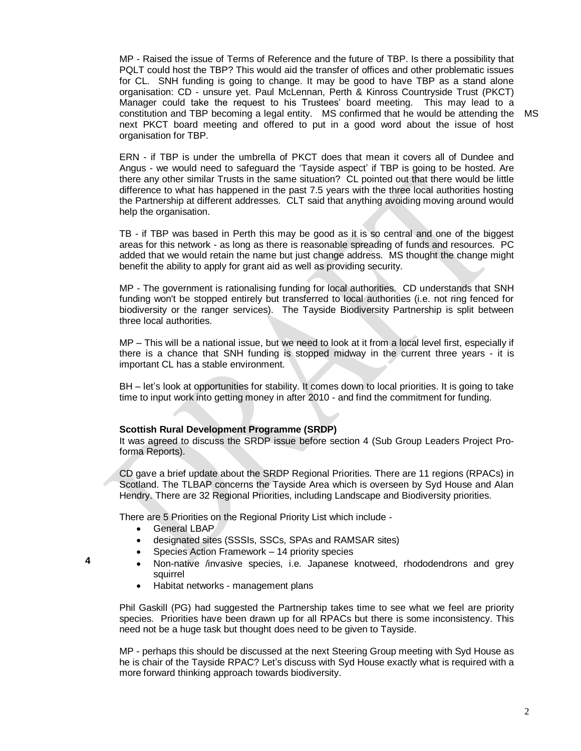MP - Raised the issue of Terms of Reference and the future of TBP. Is there a possibility that PQLT could host the TBP? This would aid the transfer of offices and other problematic issues for CL. SNH funding is going to change. It may be good to have TBP as a stand alone organisation: CD - unsure yet. Paul McLennan, Perth & Kinross Countryside Trust (PKCT) Manager could take the request to his Trustees" board meeting. This may lead to a constitution and TBP becoming a legal entity. MS confirmed that he would be attending the MSnext PKCT board meeting and offered to put in a good word about the issue of host organisation for TBP.

ERN - if TBP is under the umbrella of PKCT does that mean it covers all of Dundee and Angus - we would need to safeguard the "Tayside aspect" if TBP is going to be hosted. Are there any other similar Trusts in the same situation? CL pointed out that there would be little difference to what has happened in the past 7.5 years with the three local authorities hosting the Partnership at different addresses. CLT said that anything avoiding moving around would help the organisation.

TB - if TBP was based in Perth this may be good as it is so central and one of the biggest areas for this network - as long as there is reasonable spreading of funds and resources. PC added that we would retain the name but just change address. MS thought the change might benefit the ability to apply for grant aid as well as providing security.

MP - The government is rationalising funding for local authorities. CD understands that SNH funding won't be stopped entirely but transferred to local authorities (i.e. not ring fenced for biodiversity or the ranger services). The Tayside Biodiversity Partnership is split between three local authorities.

MP – This will be a national issue, but we need to look at it from a local level first, especially if there is a chance that SNH funding is stopped midway in the current three years - it is important CL has a stable environment.

BH – let"s look at opportunities for stability. It comes down to local priorities. It is going to take time to input work into getting money in after 2010 - and find the commitment for funding.

#### **Scottish Rural Development Programme (SRDP)**

It was agreed to discuss the SRDP issue before section 4 (Sub Group Leaders Project Proforma Reports).

CD gave a brief update about the SRDP Regional Priorities. There are 11 regions (RPACs) in Scotland. The TLBAP concerns the Tayside Area which is overseen by Syd House and Alan Hendry. There are 32 Regional Priorities, including Landscape and Biodiversity priorities.

There are 5 Priorities on the Regional Priority List which include -

**•** General LBAP

**4**

- designated sites (SSSIs, SSCs, SPAs and RAMSAR sites)
- Species Action Framework 14 priority species
- Non-native /invasive species, i.e. Japanese knotweed, rhododendrons and grey squirrel
- Habitat networks management plans

Phil Gaskill (PG) had suggested the Partnership takes time to see what we feel are priority species. Priorities have been drawn up for all RPACs but there is some inconsistency. This need not be a huge task but thought does need to be given to Tayside.

MP - perhaps this should be discussed at the next Steering Group meeting with Syd House as he is chair of the Tayside RPAC? Let's discuss with Syd House exactly what is required with a more forward thinking approach towards biodiversity.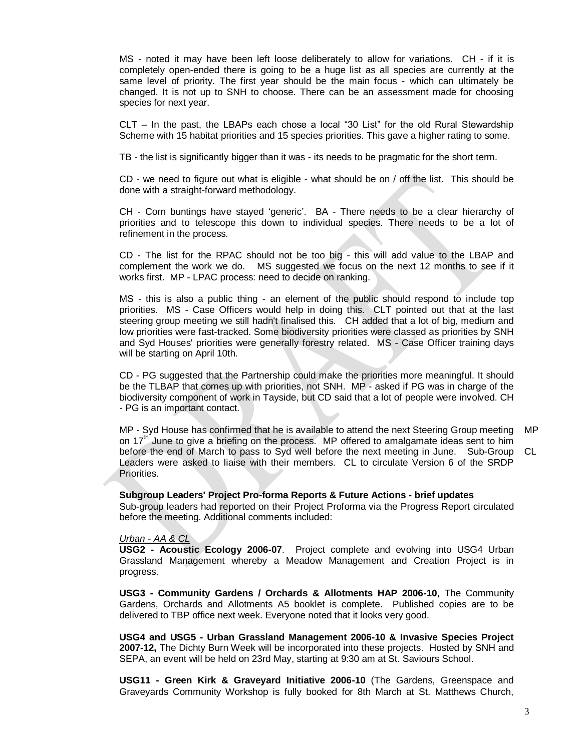MS - noted it may have been left loose deliberately to allow for variations. CH - if it is completely open-ended there is going to be a huge list as all species are currently at the same level of priority. The first year should be the main focus - which can ultimately be changed. It is not up to SNH to choose. There can be an assessment made for choosing species for next year.

CLT – In the past, the LBAPs each chose a local "30 List" for the old Rural Stewardship Scheme with 15 habitat priorities and 15 species priorities. This gave a higher rating to some.

TB - the list is significantly bigger than it was - its needs to be pragmatic for the short term.

CD - we need to figure out what is eligible - what should be on / off the list. This should be done with a straight-forward methodology.

CH - Corn buntings have stayed "generic". BA - There needs to be a clear hierarchy of priorities and to telescope this down to individual species. There needs to be a lot of refinement in the process.

CD - The list for the RPAC should not be too big - this will add value to the LBAP and complement the work we do. MS suggested we focus on the next 12 months to see if it works first. MP - LPAC process: need to decide on ranking.

MS - this is also a public thing - an element of the public should respond to include top priorities. MS - Case Officers would help in doing this. CLT pointed out that at the last steering group meeting we still hadn't finalised this. CH added that a lot of big, medium and low priorities were fast-tracked. Some biodiversity priorities were classed as priorities by SNH and Syd Houses' priorities were generally forestry related. MS - Case Officer training days will be starting on April 10th.

CD - PG suggested that the Partnership could make the priorities more meaningful. It should be the TLBAP that comes up with priorities, not SNH. MP - asked if PG was in charge of the biodiversity component of work in Tayside, but CD said that a lot of people were involved. CH - PG is an important contact.

MP - Syd House has confirmed that he is available to attend the next Steering Group meeting on  $17<sup>th</sup>$  June to give a briefing on the process. MP offered to amalgamate ideas sent to him before the end of March to pass to Syd well before the next meeting in June. Sub-Group Leaders were asked to liaise with their members. CL to circulate Version 6 of the SRDP Priorities. MP CL

#### **Subgroup Leaders' Project Pro-forma Reports & Future Actions - brief updates**

Sub-group leaders had reported on their Project Proforma via the Progress Report circulated before the meeting. Additional comments included:

#### *Urban - AA & CL*

**USG2 - Acoustic Ecology 2006-07**. Project complete and evolving into USG4 Urban Grassland Management whereby a Meadow Management and Creation Project is in progress.

**USG3 - Community Gardens / Orchards & Allotments HAP 2006-10**, The Community Gardens, Orchards and Allotments A5 booklet is complete. Published copies are to be delivered to TBP office next week. Everyone noted that it looks very good.

**USG4 and USG5 - Urban Grassland Management 2006-10 & Invasive Species Project 2007-12,** The Dichty Burn Week will be incorporated into these projects. Hosted by SNH and SEPA, an event will be held on 23rd May, starting at 9:30 am at St. Saviours School.

**USG11 - Green Kirk & Graveyard Initiative 2006-10** (The Gardens, Greenspace and Graveyards Community Workshop is fully booked for 8th March at St. Matthews Church,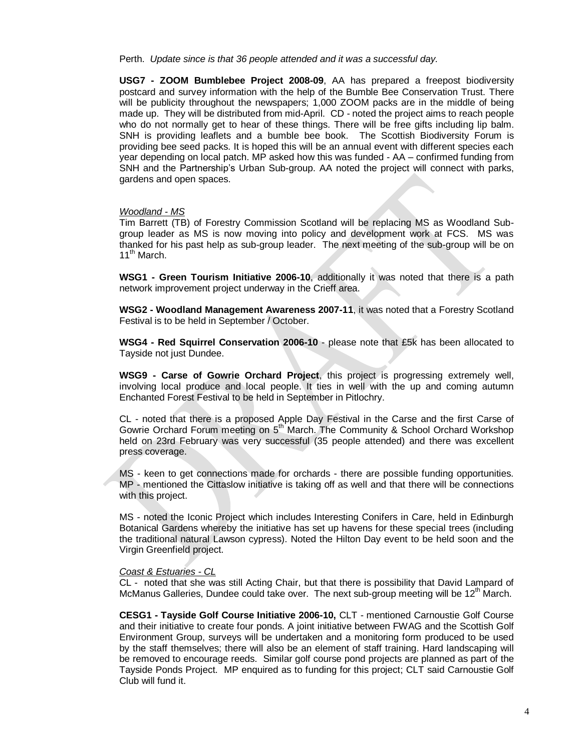Perth. *Update since is that 36 people attended and it was a successful day.*

**USG7 - ZOOM Bumblebee Project 2008-09**, AA has prepared a freepost biodiversity postcard and survey information with the help of the Bumble Bee Conservation Trust. There will be publicity throughout the newspapers; 1,000 ZOOM packs are in the middle of being made up. They will be distributed from mid-April. CD - noted the project aims to reach people who do not normally get to hear of these things. There will be free gifts including lip balm. SNH is providing leaflets and a bumble bee book. The Scottish Biodiversity Forum is providing bee seed packs. It is hoped this will be an annual event with different species each year depending on local patch. MP asked how this was funded - AA – confirmed funding from SNH and the Partnership's Urban Sub-group. AA noted the project will connect with parks, gardens and open spaces.

#### *Woodland - MS*

Tim Barrett (TB) of Forestry Commission Scotland will be replacing MS as Woodland Subgroup leader as MS is now moving into policy and development work at FCS. MS was thanked for his past help as sub-group leader. The next meeting of the sub-group will be on 11<sup>th</sup> March.

**WSG1 - Green Tourism Initiative 2006-10**, additionally it was noted that there is a path network improvement project underway in the Crieff area.

**WSG2 - Woodland Management Awareness 2007-11**, it was noted that a Forestry Scotland Festival is to be held in September / October.

**WSG4 - Red Squirrel Conservation 2006-10** - please note that £5k has been allocated to Tayside not just Dundee.

**WSG9 - Carse of Gowrie Orchard Project**, this project is progressing extremely well, involving local produce and local people. It ties in well with the up and coming autumn Enchanted Forest Festival to be held in September in Pitlochry.

CL - noted that there is a proposed Apple Day Festival in the Carse and the first Carse of Gowrie Orchard Forum meeting on 5<sup>th</sup> March. The Community & School Orchard Workshop held on 23rd February was very successful (35 people attended) and there was excellent press coverage.

MS - keen to get connections made for orchards - there are possible funding opportunities. MP - mentioned the Cittaslow initiative is taking off as well and that there will be connections with this project.

MS - noted the Iconic Project which includes Interesting Conifers in Care, held in Edinburgh Botanical Gardens whereby the initiative has set up havens for these special trees (including the traditional natural Lawson cypress). Noted the Hilton Day event to be held soon and the Virgin Greenfield project.

#### *Coast & Estuaries - CL*

CL - noted that she was still Acting Chair, but that there is possibility that David Lampard of McManus Galleries, Dundee could take over. The next sub-group meeting will be 12<sup>th</sup> March.

**CESG1 - Tayside Golf Course Initiative 2006-10,** CLT - mentioned Carnoustie Golf Course and their initiative to create four ponds. A joint initiative between FWAG and the Scottish Golf Environment Group, surveys will be undertaken and a monitoring form produced to be used by the staff themselves; there will also be an element of staff training. Hard landscaping will be removed to encourage reeds. Similar golf course pond projects are planned as part of the Tayside Ponds Project. MP enquired as to funding for this project; CLT said Carnoustie Golf Club will fund it.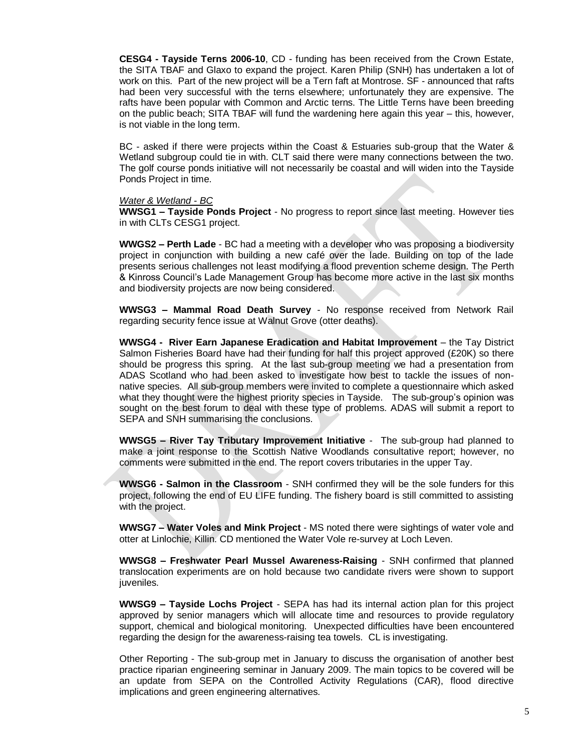**CESG4 - Tayside Terns 2006-10**, CD - funding has been received from the Crown Estate, the SITA TBAF and Glaxo to expand the project. Karen Philip (SNH) has undertaken a lot of work on this. Part of the new project will be a Tern faft at Montrose. SF - announced that rafts had been very successful with the terns elsewhere; unfortunately they are expensive. The rafts have been popular with Common and Arctic terns. The Little Terns have been breeding on the public beach; SITA TBAF will fund the wardening here again this year – this, however, is not viable in the long term.

BC - asked if there were projects within the Coast & Estuaries sub-group that the Water & Wetland subgroup could tie in with. CLT said there were many connections between the two. The golf course ponds initiative will not necessarily be coastal and will widen into the Tayside Ponds Project in time.

#### *Water & Wetland - BC*

**WWSG1 – Tayside Ponds Project** - No progress to report since last meeting. However ties in with CLTs CESG1 project.

**WWGS2 – Perth Lade** - BC had a meeting with a developer who was proposing a biodiversity project in conjunction with building a new café over the lade. Building on top of the lade presents serious challenges not least modifying a flood prevention scheme design. The Perth & Kinross Council"s Lade Management Group has become more active in the last six months and biodiversity projects are now being considered.

**WWSG3 – Mammal Road Death Survey** - No response received from Network Rail regarding security fence issue at Walnut Grove (otter deaths).

**WWSG4 - River Earn Japanese Eradication and Habitat Improvement** – the Tay District Salmon Fisheries Board have had their funding for half this project approved (£20K) so there should be progress this spring. At the last sub-group meeting we had a presentation from ADAS Scotland who had been asked to investigate how best to tackle the issues of nonnative species. All sub-group members were invited to complete a questionnaire which asked what they thought were the highest priority species in Tayside. The sub-group"s opinion was sought on the best forum to deal with these type of problems. ADAS will submit a report to SEPA and SNH summarising the conclusions.

**WWSG5 – River Tay Tributary Improvement Initiative** - The sub-group had planned to make a joint response to the Scottish Native Woodlands consultative report; however, no comments were submitted in the end. The report covers tributaries in the upper Tay.

**WWSG6 - Salmon in the Classroom** - SNH confirmed they will be the sole funders for this project, following the end of EU LIFE funding. The fishery board is still committed to assisting with the project.

**WWSG7 – Water Voles and Mink Project** - MS noted there were sightings of water vole and otter at Linlochie, Killin. CD mentioned the Water Vole re-survey at Loch Leven.

**WWSG8 – Freshwater Pearl Mussel Awareness-Raising** - SNH confirmed that planned translocation experiments are on hold because two candidate rivers were shown to support juveniles.

**WWSG9 – Tayside Lochs Project** - SEPA has had its internal action plan for this project approved by senior managers which will allocate time and resources to provide regulatory support, chemical and biological monitoring. Unexpected difficulties have been encountered regarding the design for the awareness-raising tea towels. CL is investigating.

Other Reporting - The sub-group met in January to discuss the organisation of another best practice riparian engineering seminar in January 2009. The main topics to be covered will be an update from SEPA on the Controlled Activity Regulations (CAR), flood directive implications and green engineering alternatives.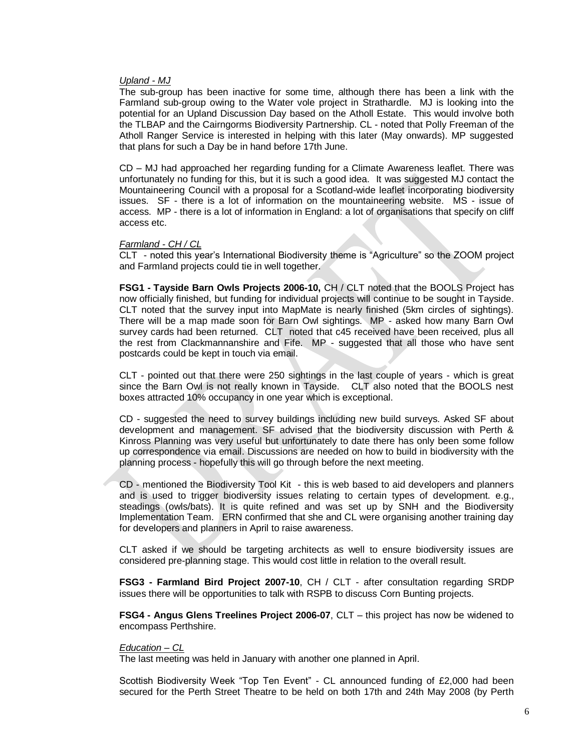#### *Upland - MJ*

The sub-group has been inactive for some time, although there has been a link with the Farmland sub-group owing to the Water vole project in Strathardle. MJ is looking into the potential for an Upland Discussion Day based on the Atholl Estate. This would involve both the TLBAP and the Cairngorms Biodiversity Partnership. CL - noted that Polly Freeman of the Atholl Ranger Service is interested in helping with this later (May onwards). MP suggested that plans for such a Day be in hand before 17th June.

CD – MJ had approached her regarding funding for a Climate Awareness leaflet. There was unfortunately no funding for this, but it is such a good idea. It was suggested MJ contact the Mountaineering Council with a proposal for a Scotland-wide leaflet incorporating biodiversity issues. SF - there is a lot of information on the mountaineering website. MS - issue of access. MP - there is a lot of information in England: a lot of organisations that specify on cliff access etc.

#### *Farmland - CH / CL*

CLT - noted this year"s International Biodiversity theme is "Agriculture" so the ZOOM project and Farmland projects could tie in well together.

**FSG1 - Tayside Barn Owls Projects 2006-10,** CH / CLT noted that the BOOLS Project has now officially finished, but funding for individual projects will continue to be sought in Tayside. CLT noted that the survey input into MapMate is nearly finished (5km circles of sightings). There will be a map made soon for Barn Owl sightings. MP - asked how many Barn Owl survey cards had been returned. CLT noted that c45 received have been received, plus all the rest from Clackmannanshire and Fife. MP - suggested that all those who have sent postcards could be kept in touch via email.

CLT - pointed out that there were 250 sightings in the last couple of years - which is great since the Barn Owl is not really known in Tayside. CLT also noted that the BOOLS nest boxes attracted 10% occupancy in one year which is exceptional.

CD - suggested the need to survey buildings including new build surveys. Asked SF about development and management. SF advised that the biodiversity discussion with Perth & Kinross Planning was very useful but unfortunately to date there has only been some follow up correspondence via email. Discussions are needed on how to build in biodiversity with the planning process - hopefully this will go through before the next meeting.

CD - mentioned the Biodiversity Tool Kit - this is web based to aid developers and planners and is used to trigger biodiversity issues relating to certain types of development. e.g., steadings (owls/bats). It is quite refined and was set up by SNH and the Biodiversity Implementation Team. ERN confirmed that she and CL were organising another training day for developers and planners in April to raise awareness.

CLT asked if we should be targeting architects as well to ensure biodiversity issues are considered pre-planning stage. This would cost little in relation to the overall result.

**FSG3 - Farmland Bird Project 2007-10**, CH / CLT - after consultation regarding SRDP issues there will be opportunities to talk with RSPB to discuss Corn Bunting projects.

**FSG4 - Angus Glens Treelines Project 2006-07**, CLT – this project has now be widened to encompass Perthshire.

#### *Education – CL*

The last meeting was held in January with another one planned in April.

Scottish Biodiversity Week "Top Ten Event" - CL announced funding of £2,000 had been secured for the Perth Street Theatre to be held on both 17th and 24th May 2008 (by Perth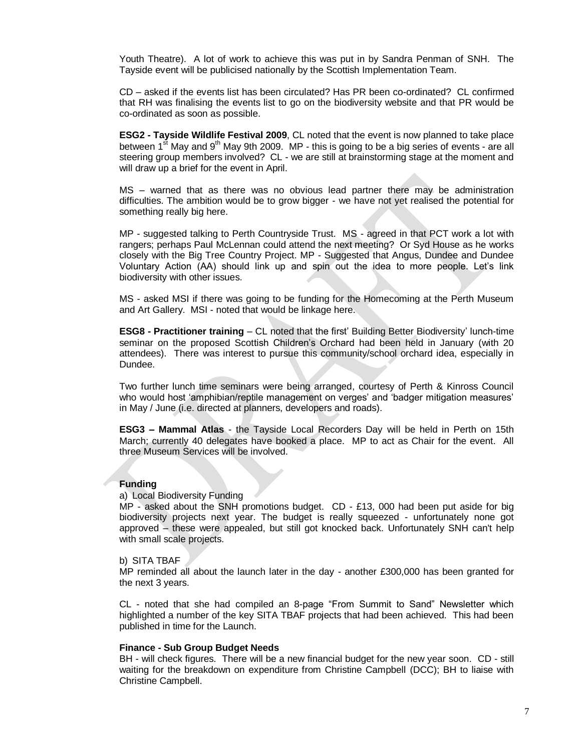Youth Theatre). A lot of work to achieve this was put in by Sandra Penman of SNH. The Tayside event will be publicised nationally by the Scottish Implementation Team.

CD – asked if the events list has been circulated? Has PR been co-ordinated? CL confirmed that RH was finalising the events list to go on the biodiversity website and that PR would be co-ordinated as soon as possible.

**ESG2 - Tayside Wildlife Festival 2009**, CL noted that the event is now planned to take place between  $1^{st}$  May and  $9^{th}$  May 9th 2009. MP - this is going to be a big series of events - are all steering group members involved? CL - we are still at brainstorming stage at the moment and will draw up a brief for the event in April.

MS – warned that as there was no obvious lead partner there may be administration difficulties. The ambition would be to grow bigger - we have not yet realised the potential for something really big here.

MP - suggested talking to Perth Countryside Trust. MS - agreed in that PCT work a lot with rangers; perhaps Paul McLennan could attend the next meeting? Or Syd House as he works closely with the Big Tree Country Project. MP - Suggested that Angus, Dundee and Dundee Voluntary Action (AA) should link up and spin out the idea to more people. Let"s link biodiversity with other issues.

MS - asked MSI if there was going to be funding for the Homecoming at the Perth Museum and Art Gallery. MSI - noted that would be linkage here.

**ESG8 - Practitioner training** – CL noted that the first" Building Better Biodiversity" lunch-time seminar on the proposed Scottish Children"s Orchard had been held in January (with 20 attendees). There was interest to pursue this community/school orchard idea, especially in Dundee.

Two further lunch time seminars were being arranged, courtesy of Perth & Kinross Council who would host 'amphibian/reptile management on verges' and 'badger mitigation measures' in May / June (i.e. directed at planners, developers and roads).

**ESG3 – Mammal Atlas** - the Tayside Local Recorders Day will be held in Perth on 15th March; currently 40 delegates have booked a place. MP to act as Chair for the event. All three Museum Services will be involved.

#### **Funding**

a) Local Biodiversity Funding

MP - asked about the SNH promotions budget. CD - £13, 000 had been put aside for big biodiversity projects next year. The budget is really squeezed - unfortunately none got approved – these were appealed, but still got knocked back. Unfortunately SNH can't help with small scale projects.

#### b) SITA TBAF

MP reminded all about the launch later in the day - another £300,000 has been granted for the next 3 years.

CL - noted that she had compiled an 8-page "From Summit to Sand" Newsletter which highlighted a number of the key SITA TBAF projects that had been achieved. This had been published in time for the Launch.

#### **Finance - Sub Group Budget Needs**

BH - will check figures. There will be a new financial budget for the new year soon. CD - still waiting for the breakdown on expenditure from Christine Campbell (DCC); BH to liaise with Christine Campbell.